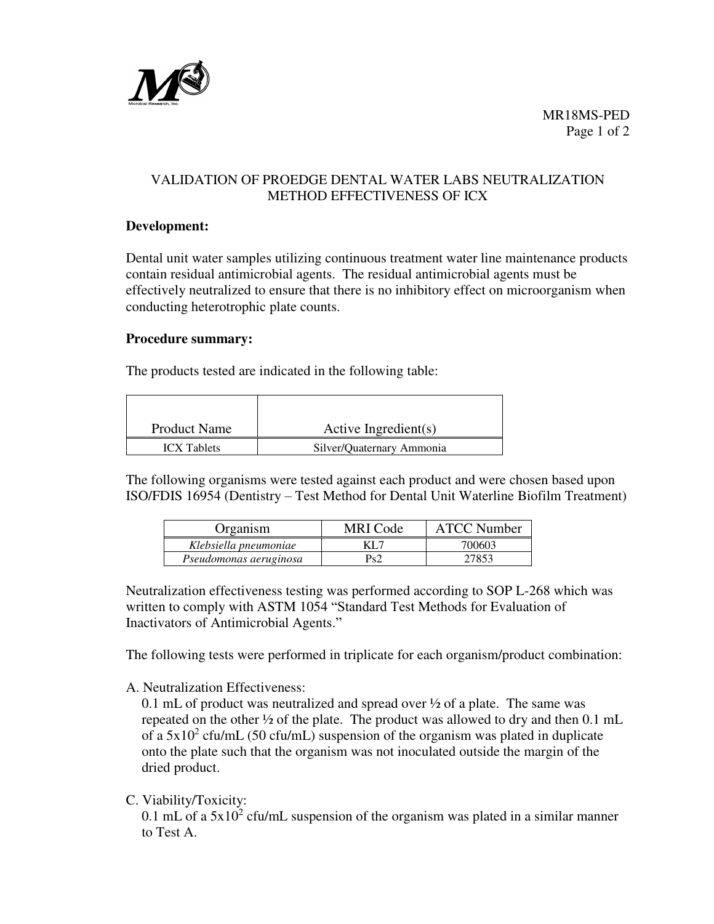

# VALIDATION OF PROEDGE DENTAL WATER LABS NEUTRALIZATION METHOD EFFECTIVENESS OF ICX

#### **Development:**

Dental unit water samples utilizing continuous treatment water line maintenance products contain residual antimicrobial agents. The residual antimicrobial agents must be effectively neutralized to ensure that there is no inhibitory effect on microorganism when conducting heterotrophic plate counts.

#### **Procedure summary:**

The products tested are indicated in the following table:

| <b>Product Name</b> | Active Ingredient(s)      |  |  |  |
|---------------------|---------------------------|--|--|--|
| <b>ICX</b> Tablets  | Silver/Quaternary Ammonia |  |  |  |

The following organisms were tested against each product and were chosen based upon ISO/FDIS 16954 (Dentistry – Test Method for Dental Unit Waterline Biofilm Treatment)

| Organism               | MRI Code | <b>ATCC Number</b> |
|------------------------|----------|--------------------|
| Klebsiella pneumoniae  | KL 7     | 700603             |
| Pseudomonas aeruginosa | Ps2      | 27853              |

Neutralization effectiveness testing was performed according to SOP L-268 which was written to comply with ASTM 1054 "Standard Test Methods for Evaluation of Inactivators of Antimicrobial Agents."

The following tests were performed in triplicate for each organism/product combination:

A. Neutralization Effectiveness:

0.1 mL of product was neutralized and spread over ½ of a plate. The same was repeated on the other ½ of the plate. The product was allowed to dry and then 0.1 mL of a  $5x10^2$  cfu/mL (50 cfu/mL) suspension of the organism was plated in duplicate onto the plate such that the organism was not inoculated outside the margin of the dried product.

C. Viability/Toxicity:

0.1 mL of a  $5x10^2$  cfu/mL suspension of the organism was plated in a similar manner to Test A.